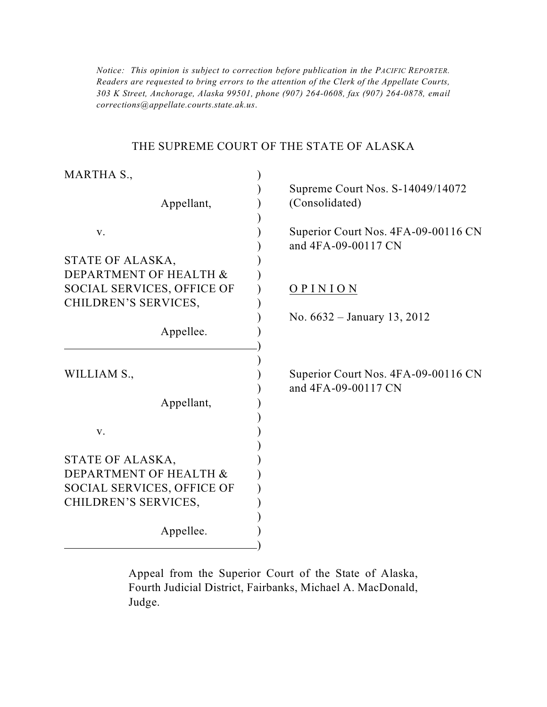*303 K Street, Anchorage, Alaska 99501, phone (907) 264-0608, fax (907) 264-0878, email Notice: This opinion is subject to correction before publication in the PACIFIC REPORTER. Readers are requested to bring errors to the attention of the Clerk of the Appellate Courts, corrections@appellate.courts.state.ak.us*.

#### THE SUPREME COURT OF THE STATE OF ALASKA

| MARTHA S.,                                 |                                                            |
|--------------------------------------------|------------------------------------------------------------|
|                                            | Supreme Court Nos. S-14049/14072                           |
| Appellant,                                 | (Consolidated)                                             |
| V.                                         | Superior Court Nos. 4FA-09-00116 CN                        |
|                                            | and 4FA-09-00117 CN                                        |
| STATE OF ALASKA,                           |                                                            |
| DEPARTMENT OF HEALTH &                     |                                                            |
| SOCIAL SERVICES, OFFICE OF                 | OPINION                                                    |
| CHILDREN'S SERVICES,                       |                                                            |
|                                            | No. $6632 - January 13, 2012$                              |
| Appellee.                                  |                                                            |
|                                            |                                                            |
| WILLIAM S.,                                | Superior Court Nos. 4FA-09-00116 CN<br>and 4FA-09-00117 CN |
| Appellant,                                 |                                                            |
|                                            |                                                            |
| V.                                         |                                                            |
|                                            |                                                            |
| STATE OF ALASKA,<br>DEPARTMENT OF HEALTH & |                                                            |
| <b>SOCIAL SERVICES, OFFICE OF</b>          |                                                            |
| CHILDREN'S SERVICES,                       |                                                            |
|                                            |                                                            |
| Appellee.                                  |                                                            |
|                                            |                                                            |

Appeal from the Superior Court of the State of Alaska, Fourth Judicial District, Fairbanks, Michael A. MacDonald, Judge.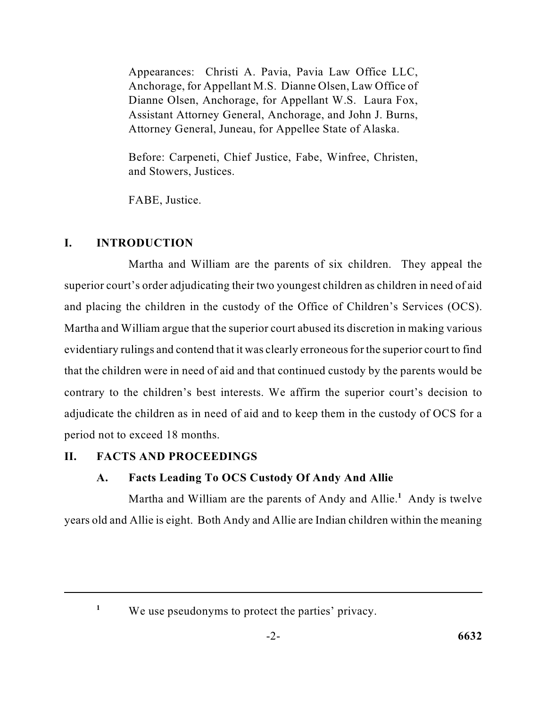Anchorage, for Appellant M.S. Dianne Olsen, Law Office of Appearances: Christi A. Pavia, Pavia Law Office LLC, Dianne Olsen, Anchorage, for Appellant W.S. Laura Fox, Assistant Attorney General, Anchorage, and John J. Burns, Attorney General, Juneau, for Appellee State of Alaska.

Before: Carpeneti, Chief Justice, Fabe, Winfree, Christen, and Stowers, Justices.

FABE, Justice.

# **I. INTRODUCTION**

 superior court's order adjudicating their two youngest children as children in need of aid Martha and William argue that the superior court abused its discretion in making various evidentiary rulings and contend that it was clearly erroneous for the superior court to find adjudicate the children as in need of aid and to keep them in the custody of OCS for a Martha and William are the parents of six children. They appeal the and placing the children in the custody of the Office of Children's Services (OCS). that the children were in need of aid and that continued custody by the parents would be contrary to the children's best interests. We affirm the superior court's decision to period not to exceed 18 months.

## **II. FACTS AND PROCEEDINGS**

# **A. Facts Leading To OCS Custody Of Andy And Allie**

Martha and William are the parents of Andy and Allie.<sup>1</sup> Andy is twelve years old and Allie is eight. Both Andy and Allie are Indian children within the meaning

<sup>&</sup>lt;sup>1</sup> We use pseudonyms to protect the parties' privacy.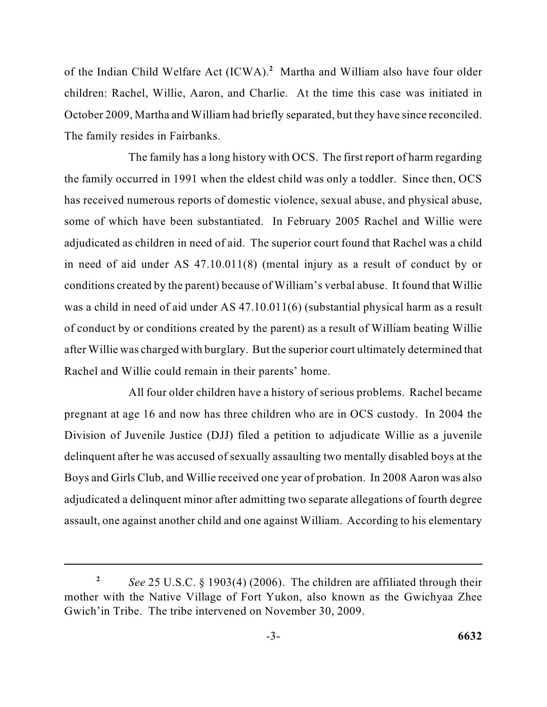of the Indian Child Welfare Act (ICWA).<sup>2</sup> Martha and William also have four older children: Rachel, Willie, Aaron, and Charlie. At the time this case was initiated in October 2009, Martha and William had briefly separated, but they have since reconciled. The family resides in Fairbanks.

 The family has a long history with OCS. The first report of harm regarding the family occurred in 1991 when the eldest child was only a toddler. Since then, OCS adjudicated as children in need of aid. The superior court found that Rachel was a child in need of aid under AS 47.10.011(8) (mental injury as a result of conduct by or conditions created by the parent) because of William's verbal abuse. It found that Willie was a child in need of aid under AS 47.10.011(6) (substantial physical harm as a result of conduct by or conditions created by the parent) as a result of William beating Willie has received numerous reports of domestic violence, sexual abuse, and physical abuse, some of which have been substantiated. In February 2005 Rachel and Willie were after Willie was charged with burglary. But the superior court ultimately determined that Rachel and Willie could remain in their parents' home.

 pregnant at age 16 and now has three children who are in OCS custody. In 2004 the assault, one against another child and one against William. According to his elementary All four older children have a history of serious problems. Rachel became Division of Juvenile Justice (DJJ) filed a petition to adjudicate Willie as a juvenile delinquent after he was accused of sexually assaulting two mentally disabled boys at the Boys and Girls Club, and Willie received one year of probation. In 2008 Aaron was also adjudicated a delinquent minor after admitting two separate allegations of fourth degree

 mother with the Native Village of Fort Yukon, also known as the Gwichyaa Zhee *See* 25 U.S.C. § 1903(4) (2006). The children are affiliated through their Gwich'in Tribe. The tribe intervened on November 30, 2009. **2**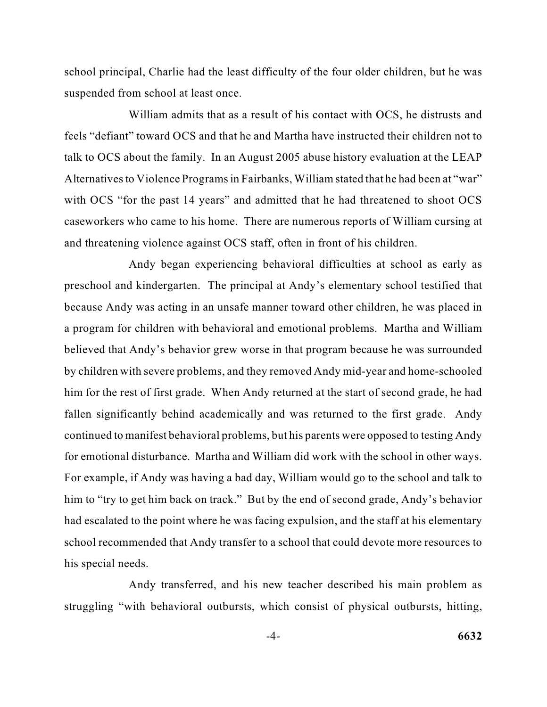school principal, Charlie had the least difficulty of the four older children, but he was suspended from school at least once.

 feels "defiant" toward OCS and that he and Martha have instructed their children not to talk to OCS about the family. In an August 2005 abuse history evaluation at the LEAP with OCS "for the past 14 years" and admitted that he had threatened to shoot OCS caseworkers who came to his home. There are numerous reports of William cursing at William admits that as a result of his contact with OCS, he distrusts and Alternatives to Violence Programs in Fairbanks, William stated that he had been at "war" and threatening violence against OCS staff, often in front of his children.

 Andy began experiencing behavioral difficulties at school as early as because Andy was acting in an unsafe manner toward other children, he was placed in by children with severe problems, and they removed Andy mid-year and home-schooled him for the rest of first grade. When Andy returned at the start of second grade, he had continued to manifest behavioral problems, but his parents were opposed to testing Andy for emotional disturbance. Martha and William did work with the school in other ways. For example, if Andy was having a bad day, William would go to the school and talk to had escalated to the point where he was facing expulsion, and the staff at his elementary school recommended that Andy transfer to a school that could devote more resources to preschool and kindergarten. The principal at Andy's elementary school testified that a program for children with behavioral and emotional problems. Martha and William believed that Andy's behavior grew worse in that program because he was surrounded fallen significantly behind academically and was returned to the first grade. Andy him to "try to get him back on track." But by the end of second grade, Andy's behavior his special needs.

 Andy transferred, and his new teacher described his main problem as struggling "with behavioral outbursts, which consist of physical outbursts, hitting,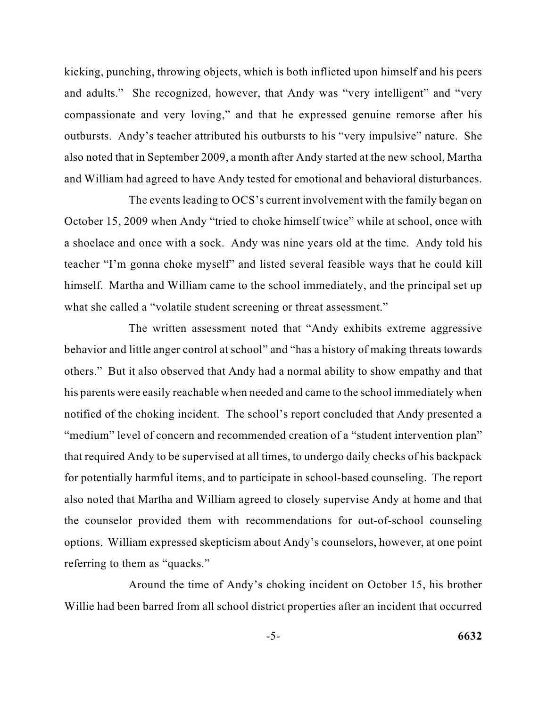kicking, punching, throwing objects, which is both inflicted upon himself and his peers and adults." She recognized, however, that Andy was "very intelligent" and "very also noted that in September 2009, a month after Andy started at the new school, Martha compassionate and very loving," and that he expressed genuine remorse after his outbursts. Andy's teacher attributed his outbursts to his "very impulsive" nature. She and William had agreed to have Andy tested for emotional and behavioral disturbances.

 a shoelace and once with a sock. Andy was nine years old at the time. Andy told his teacher "I'm gonna choke myself" and listed several feasible ways that he could kill himself. Martha and William came to the school immediately, and the principal set up The events leading to OCS's current involvement with the family began on October 15, 2009 when Andy "tried to choke himself twice" while at school, once with what she called a "volatile student screening or threat assessment."

 behavior and little anger control at school" and "has a history of making threats towards "medium" level of concern and recommended creation of a "student intervention plan" for potentially harmful items, and to participate in school-based counseling. The report also noted that Martha and William agreed to closely supervise Andy at home and that options. William expressed skepticism about Andy's counselors, however, at one point The written assessment noted that "Andy exhibits extreme aggressive others." But it also observed that Andy had a normal ability to show empathy and that his parents were easily reachable when needed and came to the school immediately when notified of the choking incident. The school's report concluded that Andy presented a that required Andy to be supervised at all times, to undergo daily checks of his backpack the counselor provided them with recommendations for out-of-school counseling referring to them as "quacks."

 Willie had been barred from all school district properties after an incident that occurred Around the time of Andy's choking incident on October 15, his brother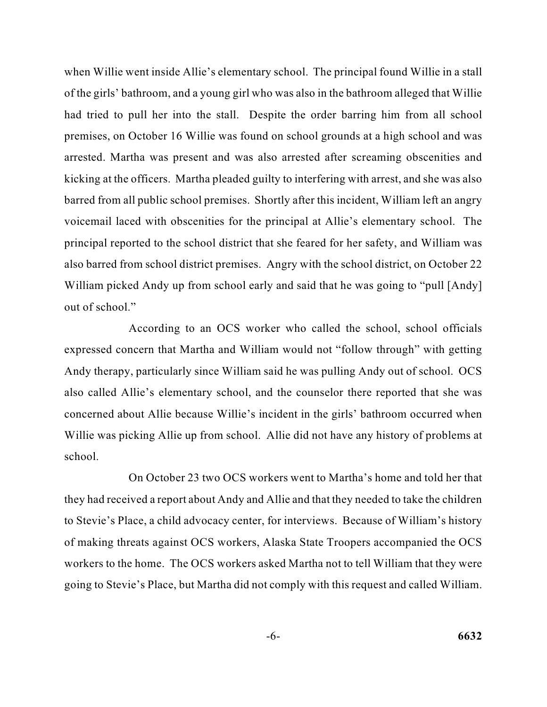when Willie went inside Allie's elementary school. The principal found Willie in a stall premises, on October 16 Willie was found on school grounds at a high school and was kicking at the officers. Martha pleaded guilty to interfering with arrest, and she was also principal reported to the school district that she feared for her safety, and William was also barred from school district premises. Angry with the school district, on October 22 of the girls' bathroom, and a young girl who was also in the bathroom alleged that Willie had tried to pull her into the stall. Despite the order barring him from all school arrested. Martha was present and was also arrested after screaming obscenities and barred from all public school premises. Shortly after this incident, William left an angry voicemail laced with obscenities for the principal at Allie's elementary school. The William picked Andy up from school early and said that he was going to "pull [Andy] out of school."

According to an OCS worker who called the school, school officials expressed concern that Martha and William would not "follow through" with getting Andy therapy, particularly since William said he was pulling Andy out of school. OCS also called Allie's elementary school, and the counselor there reported that she was concerned about Allie because Willie's incident in the girls' bathroom occurred when Willie was picking Allie up from school. Allie did not have any history of problems at school.

 On October 23 two OCS workers went to Martha's home and told her that they had received a report about Andy and Allie and that they needed to take the children workers to the home. The OCS workers asked Martha not to tell William that they were going to Stevie's Place, but Martha did not comply with this request and called William. to Stevie's Place, a child advocacy center, for interviews. Because of William's history of making threats against OCS workers, Alaska State Troopers accompanied the OCS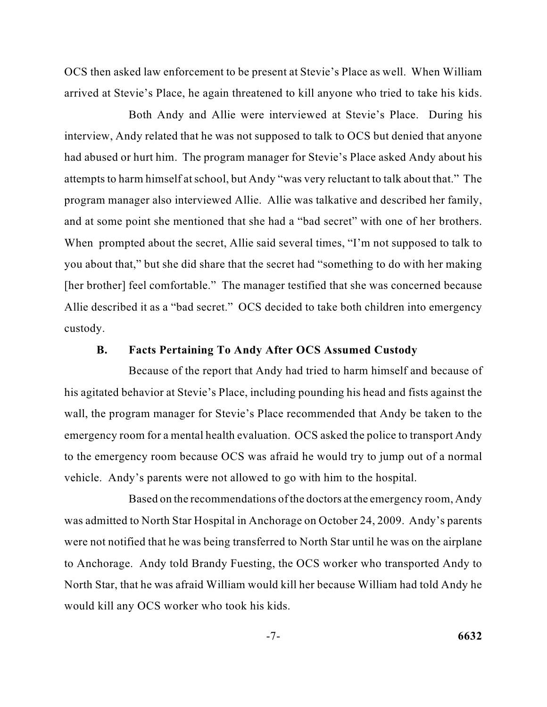OCS then asked law enforcement to be present at Stevie's Place as well. When William arrived at Stevie's Place, he again threatened to kill anyone who tried to take his kids.

 interview, Andy related that he was not supposed to talk to OCS but denied that anyone had abused or hurt him. The program manager for Stevie's Place asked Andy about his program manager also interviewed Allie. Allie was talkative and described her family, and at some point she mentioned that she had a "bad secret" with one of her brothers. you about that," but she did share that the secret had "something to do with her making [her brother] feel comfortable." The manager testified that she was concerned because Both Andy and Allie were interviewed at Stevie's Place. During his attempts to harm himself at school, but Andy "was very reluctant to talk about that." The When prompted about the secret, Allie said several times, "I'm not supposed to talk to Allie described it as a "bad secret." OCS decided to take both children into emergency custody.

#### **B. Facts Pertaining To Andy After OCS Assumed Custody**

 Because of the report that Andy had tried to harm himself and because of to the emergency room because OCS was afraid he would try to jump out of a normal his agitated behavior at Stevie's Place, including pounding his head and fists against the wall, the program manager for Stevie's Place recommended that Andy be taken to the emergency room for a mental health evaluation. OCS asked the police to transport Andy vehicle. Andy's parents were not allowed to go with him to the hospital.

 was admitted to North Star Hospital in Anchorage on October 24, 2009. Andy's parents were not notified that he was being transferred to North Star until he was on the airplane North Star, that he was afraid William would kill her because William had told Andy he Based on the recommendations of the doctors at the emergency room, Andy to Anchorage. Andy told Brandy Fuesting, the OCS worker who transported Andy to would kill any OCS worker who took his kids.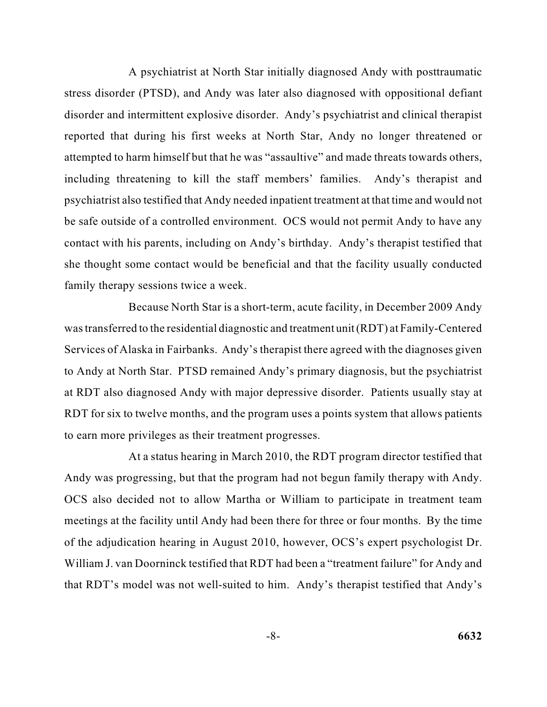disorder and intermittent explosive disorder. Andy's psychiatrist and clinical therapist attempted to harm himself but that he was "assaultive" and made threats towards others, psychiatrist also testified that Andy needed inpatient treatment at that time and would not A psychiatrist at North Star initially diagnosed Andy with posttraumatic stress disorder (PTSD), and Andy was later also diagnosed with oppositional defiant reported that during his first weeks at North Star, Andy no longer threatened or including threatening to kill the staff members' families. Andy's therapist and be safe outside of a controlled environment. OCS would not permit Andy to have any contact with his parents, including on Andy's birthday. Andy's therapist testified that she thought some contact would be beneficial and that the facility usually conducted family therapy sessions twice a week.

 Because North Star is a short-term, acute facility, in December 2009 Andy Services of Alaska in Fairbanks. Andy's therapist there agreed with the diagnoses given to Andy at North Star. PTSD remained Andy's primary diagnosis, but the psychiatrist RDT for six to twelve months, and the program uses a points system that allows patients was transferred to the residential diagnostic and treatment unit (RDT) at Family-Centered at RDT also diagnosed Andy with major depressive disorder. Patients usually stay at to earn more privileges as their treatment progresses.

 Andy was progressing, but that the program had not begun family therapy with Andy. At a status hearing in March 2010, the RDT program director testified that OCS also decided not to allow Martha or William to participate in treatment team meetings at the facility until Andy had been there for three or four months. By the time of the adjudication hearing in August 2010, however, OCS's expert psychologist Dr. William J. van Doorninck testified that RDT had been a "treatment failure" for Andy and that RDT's model was not well-suited to him. Andy's therapist testified that Andy's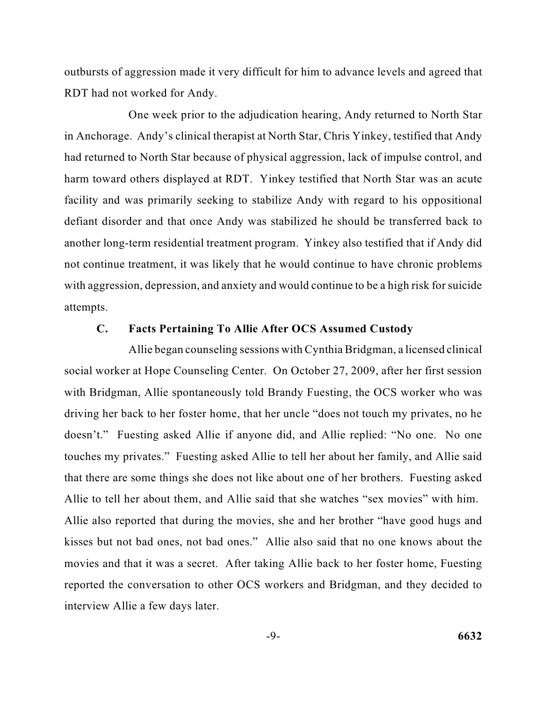outbursts of aggression made it very difficult for him to advance levels and agreed that RDT had not worked for Andy.

 had returned to North Star because of physical aggression, lack of impulse control, and harm toward others displayed at RDT. Yinkey testified that North Star was an acute facility and was primarily seeking to stabilize Andy with regard to his oppositional another long-term residential treatment program. Yinkey also testified that if Andy did with aggression, depression, and anxiety and would continue to be a high risk for suicide One week prior to the adjudication hearing, Andy returned to North Star in Anchorage. Andy's clinical therapist at North Star, Chris Yinkey, testified that Andy defiant disorder and that once Andy was stabilized he should be transferred back to not continue treatment, it was likely that he would continue to have chronic problems attempts.

#### **C. Facts Pertaining To Allie After OCS Assumed Custody**

 social worker at Hope Counseling Center. On October 27, 2009, after her first session doesn't." Fuesting asked Allie if anyone did, and Allie replied: "No one. No one Allie to tell her about them, and Allie said that she watches "sex movies" with him. movies and that it was a secret. After taking Allie back to her foster home, Fuesting Allie began counseling sessions with Cynthia Bridgman, a licensed clinical with Bridgman, Allie spontaneously told Brandy Fuesting, the OCS worker who was driving her back to her foster home, that her uncle "does not touch my privates, no he touches my privates." Fuesting asked Allie to tell her about her family, and Allie said that there are some things she does not like about one of her brothers. Fuesting asked Allie also reported that during the movies, she and her brother "have good hugs and kisses but not bad ones, not bad ones." Allie also said that no one knows about the reported the conversation to other OCS workers and Bridgman, and they decided to interview Allie a few days later.

$$
-9- \hspace{2.5cm} 6632
$$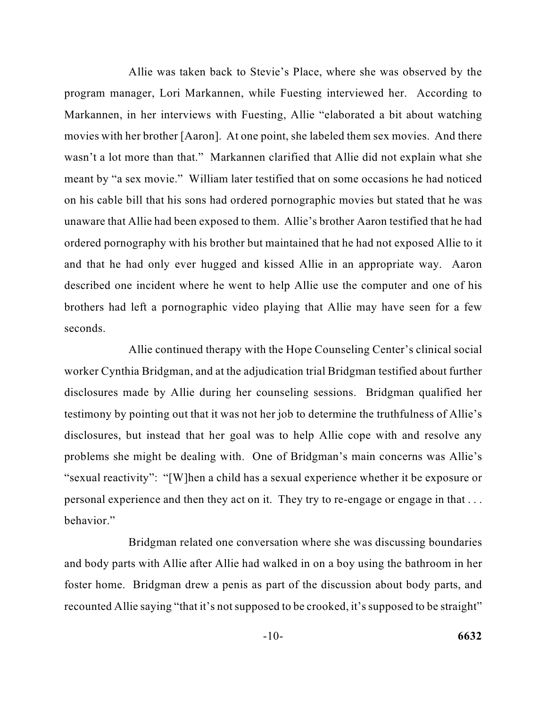Allie was taken back to Stevie's Place, where she was observed by the movies with her brother [Aaron]. At one point, she labeled them sex movies. And there program manager, Lori Markannen, while Fuesting interviewed her. According to Markannen, in her interviews with Fuesting, Allie "elaborated a bit about watching wasn't a lot more than that." Markannen clarified that Allie did not explain what she meant by "a sex movie." William later testified that on some occasions he had noticed on his cable bill that his sons had ordered pornographic movies but stated that he was unaware that Allie had been exposed to them. Allie's brother Aaron testified that he had ordered pornography with his brother but maintained that he had not exposed Allie to it and that he had only ever hugged and kissed Allie in an appropriate way. Aaron described one incident where he went to help Allie use the computer and one of his brothers had left a pornographic video playing that Allie may have seen for a few seconds.

 Allie continued therapy with the Hope Counseling Center's clinical social disclosures, but instead that her goal was to help Allie cope with and resolve any personal experience and then they act on it. They try to re-engage or engage in that . . . worker Cynthia Bridgman, and at the adjudication trial Bridgman testified about further disclosures made by Allie during her counseling sessions. Bridgman qualified her testimony by pointing out that it was not her job to determine the truthfulness of Allie's problems she might be dealing with. One of Bridgman's main concerns was Allie's "sexual reactivity": "[W]hen a child has a sexual experience whether it be exposure or behavior."

 recounted Allie saying "that it's not supposed to be crooked, it's supposed to be straight" Bridgman related one conversation where she was discussing boundaries and body parts with Allie after Allie had walked in on a boy using the bathroom in her foster home. Bridgman drew a penis as part of the discussion about body parts, and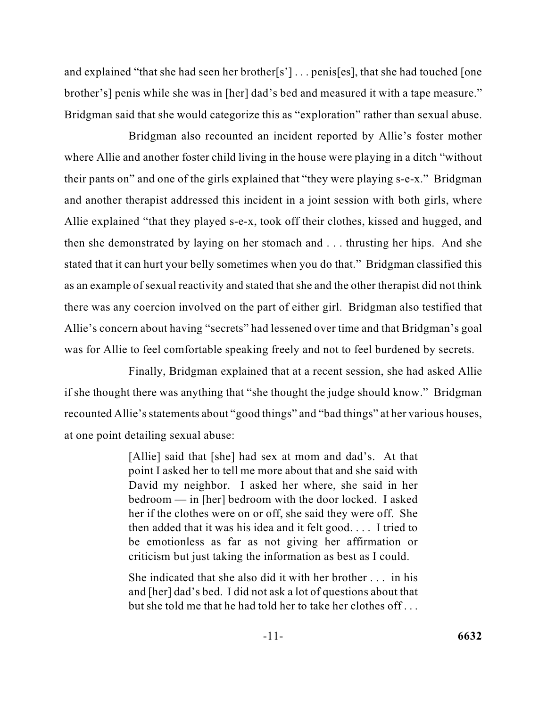brother's] penis while she was in [her] dad's bed and measured it with a tape measure." Bridgman said that she would categorize this as "exploration" rather than sexual abuse. and explained "that she had seen her brother[s'] . . . penis[es], that she had touched [one

 where Allie and another foster child living in the house were playing in a ditch "without and another therapist addressed this incident in a joint session with both girls, where Allie explained "that they played s-e-x, took off their clothes, kissed and hugged, and stated that it can hurt your belly sometimes when you do that." Bridgman classified this as an example of sexual reactivity and stated that she and the other therapist did not think Allie's concern about having "secrets" had lessened over time and that Bridgman's goal Bridgman also recounted an incident reported by Allie's foster mother their pants on" and one of the girls explained that "they were playing s-e-x." Bridgman then she demonstrated by laying on her stomach and . . . thrusting her hips. And she there was any coercion involved on the part of either girl. Bridgman also testified that was for Allie to feel comfortable speaking freely and not to feel burdened by secrets.

 if she thought there was anything that "she thought the judge should know." Bridgman recounted Allie's statements about "good things" and "bad things" at her various houses, Finally, Bridgman explained that at a recent session, she had asked Allie at one point detailing sexual abuse:

> [Allie] said that [she] had sex at mom and dad's. At that point I asked her to tell me more about that and she said with bedroom — in [her] bedroom with the door locked. I asked David my neighbor. I asked her where, she said in her her if the clothes were on or off, she said they were off. She then added that it was his idea and it felt good. . . . I tried to be emotionless as far as not giving her affirmation or criticism but just taking the information as best as I could.

> She indicated that she also did it with her brother . . . in his and [her] dad's bed. I did not ask a lot of questions about that but she told me that he had told her to take her clothes off . . .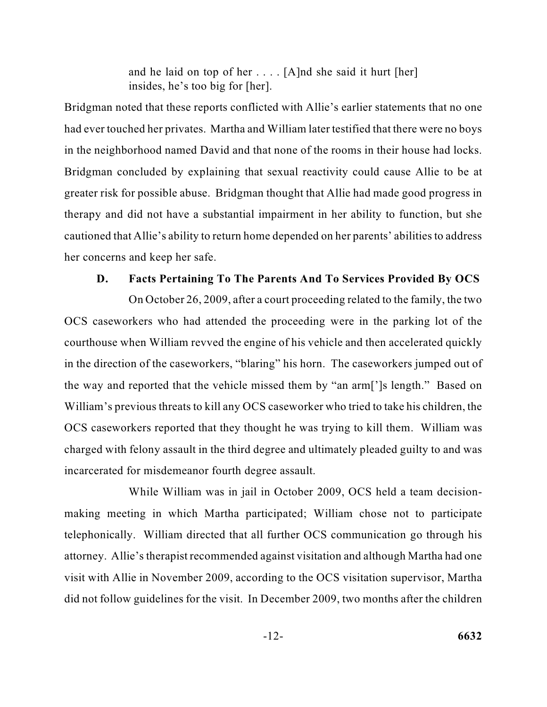and he laid on top of her . . . . [A]nd she said it hurt [her] insides, he's too big for [her].

 greater risk for possible abuse. Bridgman thought that Allie had made good progress in therapy and did not have a substantial impairment in her ability to function, but she cautioned that Allie's ability to return home depended on her parents' abilities to address Bridgman noted that these reports conflicted with Allie's earlier statements that no one had ever touched her privates. Martha and William later testified that there were no boys in the neighborhood named David and that none of the rooms in their house had locks. Bridgman concluded by explaining that sexual reactivity could cause Allie to be at her concerns and keep her safe.

#### **D. Facts Pertaining To The Parents And To Services Provided By OCS**

 On October 26, 2009, after a court proceeding related to the family, the two courthouse when William revved the engine of his vehicle and then accelerated quickly in the direction of the caseworkers, "blaring" his horn. The caseworkers jumped out of the way and reported that the vehicle missed them by "an arm[']s length." Based on William's previous threats to kill any OCS caseworker who tried to take his children, the OCS caseworkers who had attended the proceeding were in the parking lot of the OCS caseworkers reported that they thought he was trying to kill them. William was charged with felony assault in the third degree and ultimately pleaded guilty to and was incarcerated for misdemeanor fourth degree assault.

 visit with Allie in November 2009, according to the OCS visitation supervisor, Martha did not follow guidelines for the visit. In December 2009, two months after the children While William was in jail in October 2009, OCS held a team decisionmaking meeting in which Martha participated; William chose not to participate telephonically. William directed that all further OCS communication go through his attorney. Allie's therapist recommended against visitation and although Martha had one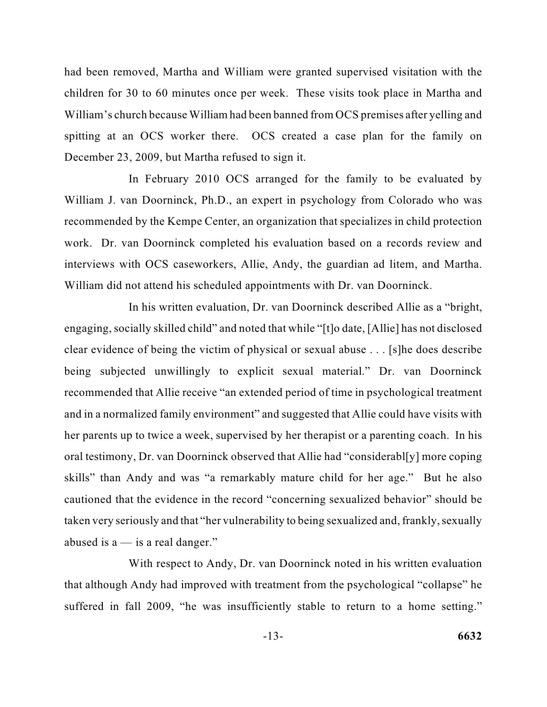children for 30 to 60 minutes once per week. These visits took place in Martha and had been removed, Martha and William were granted supervised visitation with the William's church because William had been banned from OCS premises after yelling and spitting at an OCS worker there. OCS created a case plan for the family on December 23, 2009, but Martha refused to sign it.

 recommended by the Kempe Center, an organization that specializes in child protection In February 2010 OCS arranged for the family to be evaluated by William J. van Doorninck, Ph.D., an expert in psychology from Colorado who was work. Dr. van Doorninck completed his evaluation based on a records review and interviews with OCS caseworkers, Allie, Andy, the guardian ad litem, and Martha. William did not attend his scheduled appointments with Dr. van Doorninck.

 recommended that Allie receive "an extended period of time in psychological treatment and in a normalized family environment" and suggested that Allie could have visits with taken very seriously and that "her vulnerability to being sexualized and, frankly, sexually In his written evaluation, Dr. van Doorninck described Allie as a "bright, engaging, socially skilled child" and noted that while "[t]o date, [Allie] has not disclosed clear evidence of being the victim of physical or sexual abuse . . . [s]he does describe being subjected unwillingly to explicit sexual material." Dr. van Doorninck her parents up to twice a week, supervised by her therapist or a parenting coach. In his oral testimony, Dr. van Doorninck observed that Allie had "considerabl[y] more coping skills" than Andy and was "a remarkably mature child for her age." But he also cautioned that the evidence in the record "concerning sexualized behavior" should be abused is  $a$  — is a real danger."

 suffered in fall 2009, "he was insufficiently stable to return to a home setting." With respect to Andy, Dr. van Doorninck noted in his written evaluation that although Andy had improved with treatment from the psychological "collapse" he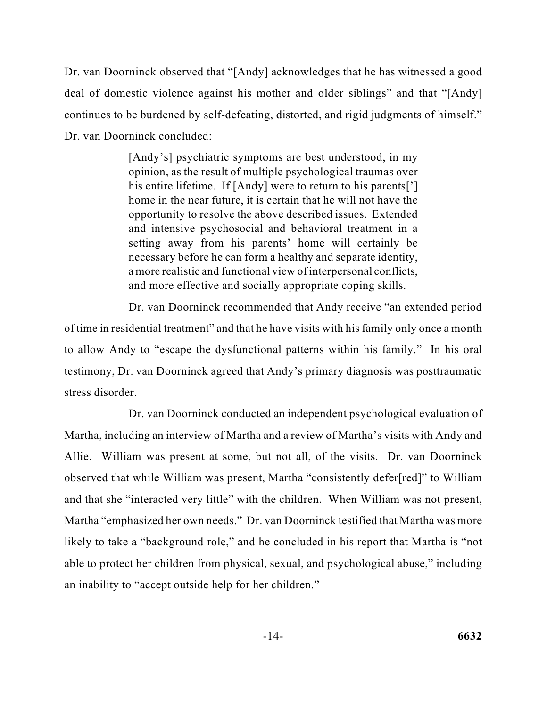continues to be burdened by self-defeating, distorted, and rigid judgments of himself." Dr. van Doorninck observed that "[Andy] acknowledges that he has witnessed a good deal of domestic violence against his mother and older siblings" and that "[Andy] Dr. van Doorninck concluded:

> [Andy's] psychiatric symptoms are best understood, in my opinion, as the result of multiple psychological traumas over his entire lifetime. If [Andy] were to return to his parents['] home in the near future, it is certain that he will not have the opportunity to resolve the above described issues. Extended and intensive psychosocial and behavioral treatment in a setting away from his parents' home will certainly be necessary before he can form a healthy and separate identity, a more realistic and functional view of interpersonal conflicts, and more effective and socially appropriate coping skills.

 of time in residential treatment" and that he have visits with his family only once a month testimony, Dr. van Doorninck agreed that Andy's primary diagnosis was posttraumatic Dr. van Doorninck recommended that Andy receive "an extended period to allow Andy to "escape the dysfunctional patterns within his family." In his oral stress disorder.

 Martha, including an interview of Martha and a review of Martha's visits with Andy and and that she "interacted very little" with the children. When William was not present, Dr. van Doorninck conducted an independent psychological evaluation of Allie. William was present at some, but not all, of the visits. Dr. van Doorninck observed that while William was present, Martha "consistently defer[red]" to William Martha "emphasized her own needs." Dr. van Doorninck testified that Martha was more likely to take a "background role," and he concluded in his report that Martha is "not able to protect her children from physical, sexual, and psychological abuse," including an inability to "accept outside help for her children."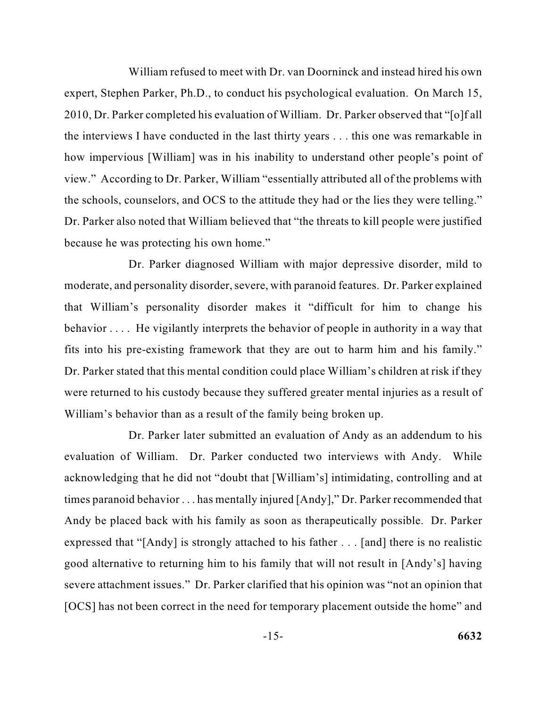William refused to meet with Dr. van Doorninck and instead hired his own expert, Stephen Parker, Ph.D., to conduct his psychological evaluation. On March 15, 2010, Dr. Parker completed his evaluation of William. Dr. Parker observed that "[o]f all the interviews I have conducted in the last thirty years . . . this one was remarkable in view." According to Dr. Parker, William "essentially attributed all of the problems with Dr. Parker also noted that William believed that "the threats to kill people were justified how impervious [William] was in his inability to understand other people's point of the schools, counselors, and OCS to the attitude they had or the lies they were telling." because he was protecting his own home."

 moderate, and personality disorder, severe, with paranoid features. Dr. Parker explained behavior . . . . He vigilantly interprets the behavior of people in authority in a way that Dr. Parker stated that this mental condition could place William's children at risk if they Dr. Parker diagnosed William with major depressive disorder, mild to that William's personality disorder makes it "difficult for him to change his fits into his pre-existing framework that they are out to harm him and his family." were returned to his custody because they suffered greater mental injuries as a result of William's behavior than as a result of the family being broken up.

 Andy be placed back with his family as soon as therapeutically possible. Dr. Parker expressed that "[Andy] is strongly attached to his father . . . [and] there is no realistic good alternative to returning him to his family that will not result in [Andy's] having Dr. Parker later submitted an evaluation of Andy as an addendum to his evaluation of William. Dr. Parker conducted two interviews with Andy. While acknowledging that he did not "doubt that [William's] intimidating, controlling and at times paranoid behavior . . . has mentally injured [Andy]," Dr. Parker recommended that severe attachment issues." Dr. Parker clarified that his opinion was "not an opinion that [OCS] has not been correct in the need for temporary placement outside the home" and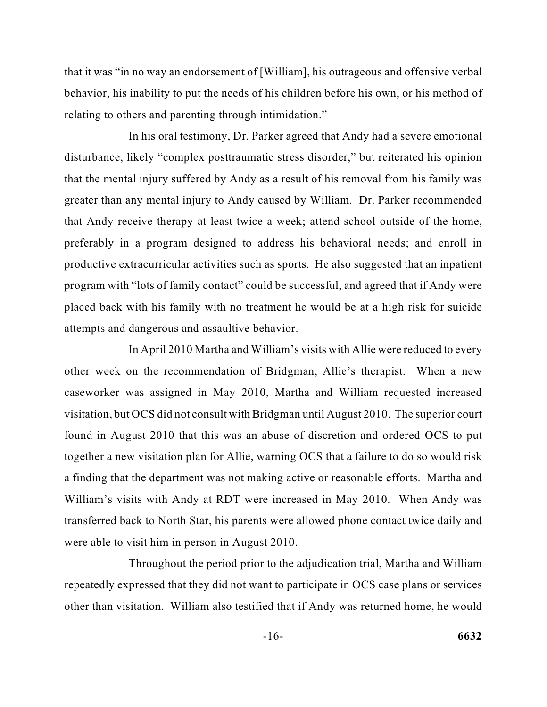behavior, his inability to put the needs of his children before his own, or his method of that it was "in no way an endorsement of [William], his outrageous and offensive verbal relating to others and parenting through intimidation."

 productive extracurricular activities such as sports. He also suggested that an inpatient placed back with his family with no treatment he would be at a high risk for suicide In his oral testimony, Dr. Parker agreed that Andy had a severe emotional disturbance, likely "complex posttraumatic stress disorder," but reiterated his opinion that the mental injury suffered by Andy as a result of his removal from his family was greater than any mental injury to Andy caused by William. Dr. Parker recommended that Andy receive therapy at least twice a week; attend school outside of the home, preferably in a program designed to address his behavioral needs; and enroll in program with "lots of family contact" could be successful, and agreed that if Andy were attempts and dangerous and assaultive behavior.

 In April 2010 Martha and William's visits with Allie were reduced to every other week on the recommendation of Bridgman, Allie's therapist. When a new caseworker was assigned in May 2010, Martha and William requested increased visitation, but OCS did not consult with Bridgman until August 2010. The superior court found in August 2010 that this was an abuse of discretion and ordered OCS to put together a new visitation plan for Allie, warning OCS that a failure to do so would risk a finding that the department was not making active or reasonable efforts. Martha and transferred back to North Star, his parents were allowed phone contact twice daily and William's visits with Andy at RDT were increased in May 2010. When Andy was were able to visit him in person in August 2010.

 repeatedly expressed that they did not want to participate in OCS case plans or services other than visitation. William also testified that if Andy was returned home, he would Throughout the period prior to the adjudication trial, Martha and William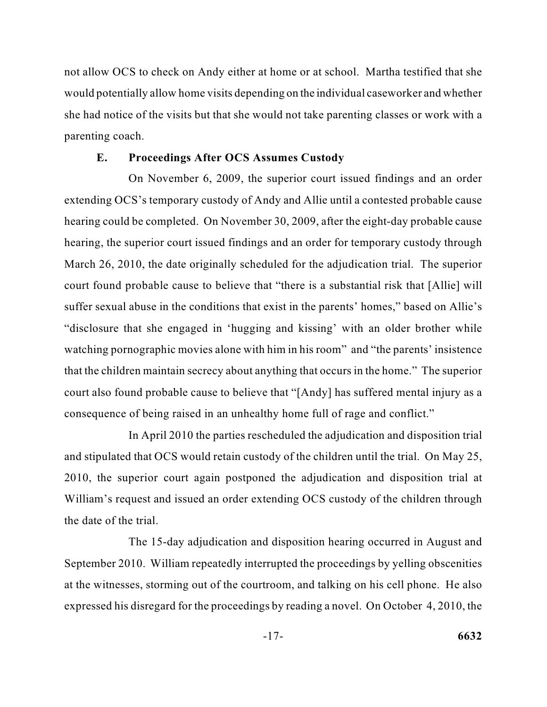not allow OCS to check on Andy either at home or at school. Martha testified that she she had notice of the visits but that she would not take parenting classes or work with a would potentially allow home visits depending on the individual caseworker and whether parenting coach.

#### **E. Proceedings After OCS Assumes Custody**

 On November 6, 2009, the superior court issued findings and an order hearing could be completed. On November 30, 2009, after the eight-day probable cause hearing, the superior court issued findings and an order for temporary custody through "disclosure that she engaged in 'hugging and kissing' with an older brother while that the children maintain secrecy about anything that occurs in the home." The superior court also found probable cause to believe that "[Andy] has suffered mental injury as a extending OCS's temporary custody of Andy and Allie until a contested probable cause March 26, 2010, the date originally scheduled for the adjudication trial. The superior court found probable cause to believe that "there is a substantial risk that [Allie] will suffer sexual abuse in the conditions that exist in the parents' homes," based on Allie's watching pornographic movies alone with him in his room" and "the parents' insistence consequence of being raised in an unhealthy home full of rage and conflict."

In April 2010 the parties rescheduled the adjudication and disposition trial and stipulated that OCS would retain custody of the children until the trial. On May 25, 2010, the superior court again postponed the adjudication and disposition trial at William's request and issued an order extending OCS custody of the children through the date of the trial.

 at the witnesses, storming out of the courtroom, and talking on his cell phone. He also expressed his disregard for the proceedings by reading a novel. On October 4, 2010, the The 15-day adjudication and disposition hearing occurred in August and September 2010. William repeatedly interrupted the proceedings by yelling obscenities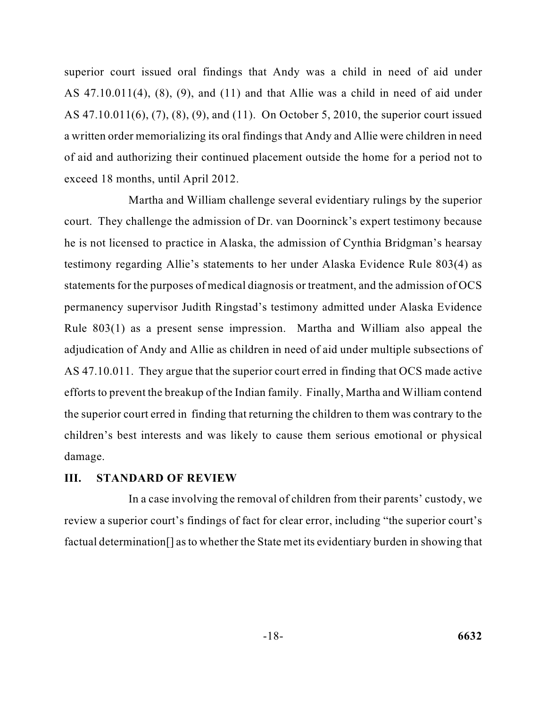AS 47.10.011(6), (7), (8), (9), and (11). On October 5, 2010, the superior court issued superior court issued oral findings that Andy was a child in need of aid under AS 47.10.011(4), (8), (9), and (11) and that Allie was a child in need of aid under a written order memorializing its oral findings that Andy and Allie were children in need of aid and authorizing their continued placement outside the home for a period not to exceed 18 months, until April 2012.

 court. They challenge the admission of Dr. van Doorninck's expert testimony because he is not licensed to practice in Alaska, the admission of Cynthia Bridgman's hearsay statements for the purposes of medical diagnosis or treatment, and the admission of OCS adjudication of Andy and Allie as children in need of aid under multiple subsections of AS 47.10.011. They argue that the superior court erred in finding that OCS made active the superior court erred in finding that returning the children to them was contrary to the Martha and William challenge several evidentiary rulings by the superior testimony regarding Allie's statements to her under Alaska Evidence Rule 803(4) as permanency supervisor Judith Ringstad's testimony admitted under Alaska Evidence Rule 803(1) as a present sense impression. Martha and William also appeal the efforts to prevent the breakup of the Indian family. Finally, Martha and William contend children's best interests and was likely to cause them serious emotional or physical damage.

#### **III. STANDARD OF REVIEW**

 In a case involving the removal of children from their parents' custody, we review a superior court's findings of fact for clear error, including "the superior court's factual determination[] as to whether the State met its evidentiary burden in showing that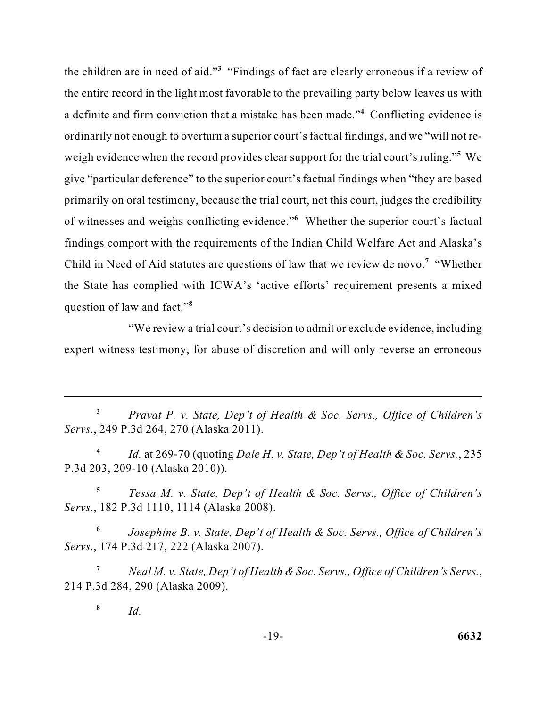the children are in need of aid."<sup>3</sup> "Findings of fact are clearly erroneous if a review of a definite and firm conviction that a mistake has been made."<sup>4</sup> Conflicting evidence is weigh evidence when the record provides clear support for the trial court's ruling."**<sup>5</sup>** We Child in Need of Aid statutes are questions of law that we review de novo.**<sup>7</sup>**"Whether the State has complied with ICWA's 'active efforts' requirement presents a mixed the entire record in the light most favorable to the prevailing party below leaves us with ordinarily not enough to overturn a superior court's factual findings, and we "will not regive "particular deference" to the superior court's factual findings when "they are based primarily on oral testimony, because the trial court, not this court, judges the credibility of witnesses and weighs conflicting evidence."<sup>6</sup> Whether the superior court's factual findings comport with the requirements of the Indian Child Welfare Act and Alaska's question of law and fact."**<sup>8</sup>**

 "We review a trial court's decision to admit or exclude evidence, including expert witness testimony, for abuse of discretion and will only reverse an erroneous

**<sup>3</sup>***Pravat P. v. State, Dep't of Health & Soc. Servs., Office of Children's Servs.*, 249 P.3d 264, 270 (Alaska 2011).

 **<sup>4</sup>***Id.* at 269-70 (quoting *Dale H. v. State, Dep't of Health & Soc. Servs.*, 235 P.3d 203, 209-10 (Alaska 2010)).

**<sup>5</sup>***Tessa M. v. State, Dep't of Health & Soc. Servs., Office of Children's Servs.*, 182 P.3d 1110, 1114 (Alaska 2008).

 **<sup>6</sup>***Josephine B. v. State, Dep't of Health & Soc. Servs., Office of Children's Servs.*, 174 P.3d 217, 222 (Alaska 2007).

 **<sup>7</sup>***Neal M. v. State, Dep't of Health & Soc. Servs., Office of Children's Servs.*, 214 P.3d 284, 290 (Alaska 2009).

**<sup>8</sup>***Id.*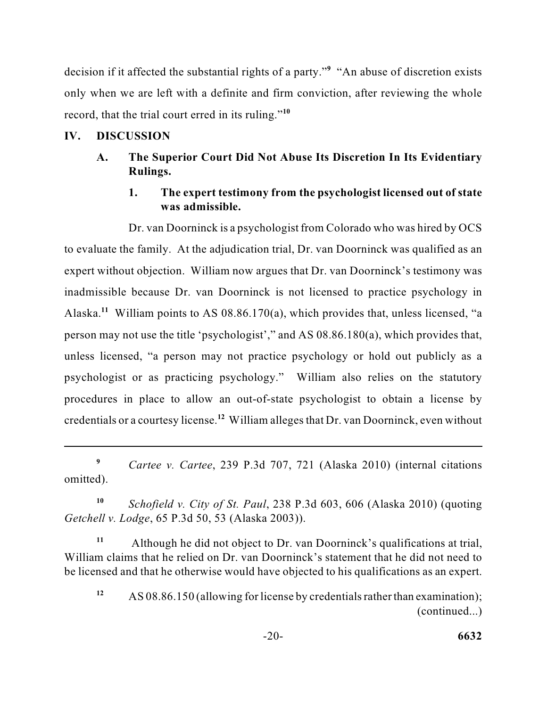only when we are left with a definite and firm conviction, after reviewing the whole decision if it affected the substantial rights of a party."<sup>9</sup> "An abuse of discretion exists record, that the trial court erred in its ruling."**<sup>10</sup>**

### **IV. DISCUSSION**

### **A. The Superior Court Did Not Abuse Its Discretion In Its Evidentiary Rulings.**

### **1. The expert testimony from the psychologist licensed out of state was admissible.**

 Dr. van Doorninck is a psychologist from Colorado who was hired by OCS to evaluate the family. At the adjudication trial, Dr. van Doorninck was qualified as an expert without objection. William now argues that Dr. van Doorninck's testimony was Alaska.<sup>11</sup> William points to AS 08.86.170(a), which provides that, unless licensed, "a person may not use the title 'psychologist'," and AS 08.86.180(a), which provides that, credentials or a courtesy license.**<sup>12</sup>**William alleges that Dr. van Doorninck, even without inadmissible because Dr. van Doorninck is not licensed to practice psychology in unless licensed, "a person may not practice psychology or hold out publicly as a psychologist or as practicing psychology." William also relies on the statutory procedures in place to allow an out-of-state psychologist to obtain a license by

**<sup>9</sup>***Cartee v. Cartee*, 239 P.3d 707, 721 (Alaska 2010) (internal citations omitted).

**<sup>10</sup>***Schofield v. City of St. Paul*, 238 P.3d 603, 606 (Alaska 2010) (quoting *Getchell v. Lodge*, 65 P.3d 50, 53 (Alaska 2003)).

 William claims that he relied on Dr. van Doorninck's statement that he did not need to be licensed and that he otherwise would have objected to his qualifications as an expert. **<sup>11</sup>**Although he did not object to Dr. van Doorninck's qualifications at trial,

**<sup>12</sup>**AS 08.86.150 (allowing for license by credentials rather than examination); (continued...)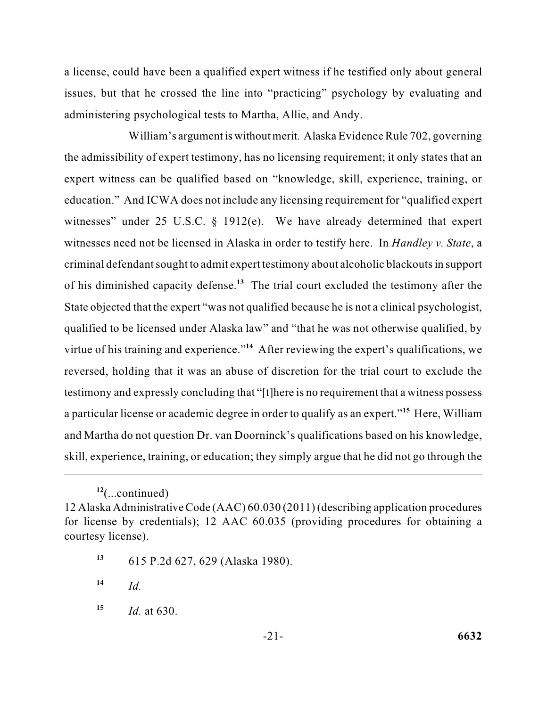a license, could have been a qualified expert witness if he testified only about general issues, but that he crossed the line into "practicing" psychology by evaluating and administering psychological tests to Martha, Allie, and Andy.

 the admissibility of expert testimony, has no licensing requirement; it only states that an expert witness can be qualified based on "knowledge, skill, experience, training, or education." And ICWA does not include any licensing requirement for "qualified expert witnesses need not be licensed in Alaska in order to testify here. In *Handley v. State*, a State objected that the expert "was not qualified because he is not a clinical psychologist, virtue of his training and experience."<sup>14</sup> After reviewing the expert's qualifications, we testimony and expressly concluding that "[t]here is no requirement that a witness possess and Martha do not question Dr. van Doorninck's qualifications based on his knowledge, skill, experience, training, or education; they simply argue that he did not go through the William's argument is without merit. Alaska Evidence Rule 702, governing witnesses" under 25 U.S.C. § 1912(e). We have already determined that expert criminal defendant sought to admit expert testimony about alcoholic blackouts in support of his diminished capacity defense.**<sup>13</sup>**The trial court excluded the testimony after the qualified to be licensed under Alaska law" and "that he was not otherwise qualified, by reversed, holding that it was an abuse of discretion for the trial court to exclude the a particular license or academic degree in order to qualify as an expert."**<sup>15</sup>** Here, William

**<sup>13</sup>**615 P.2d 627, 629 (Alaska 1980).

 $14$  *Id.* 

**<sup>15</sup>***Id.* at 630.

**<sup>12</sup>**(...continued)

<sup>12</sup> Alaska Administrative Code (AAC) 60.030 (2011) (describing application procedures for license by credentials); 12 AAC 60.035 (providing procedures for obtaining a courtesy license).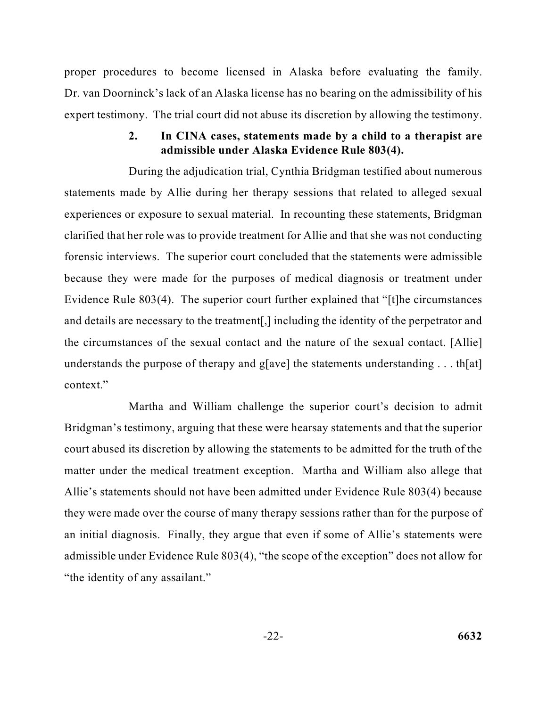Dr. van Doorninck's lack of an Alaska license has no bearing on the admissibility of his expert testimony. The trial court did not abuse its discretion by allowing the testimony. proper procedures to become licensed in Alaska before evaluating the family.

### **2. In CINA cases, statements made by a child to a therapist are admissible under Alaska Evidence Rule 803(4).**

 clarified that her role was to provide treatment for Allie and that she was not conducting and details are necessary to the treatment[,] including the identity of the perpetrator and During the adjudication trial, Cynthia Bridgman testified about numerous statements made by Allie during her therapy sessions that related to alleged sexual experiences or exposure to sexual material. In recounting these statements, Bridgman forensic interviews. The superior court concluded that the statements were admissible because they were made for the purposes of medical diagnosis or treatment under Evidence Rule 803(4). The superior court further explained that "[t]he circumstances the circumstances of the sexual contact and the nature of the sexual contact. [Allie] understands the purpose of therapy and g[ave] the statements understanding  $\dots$  th[at] context."

 Bridgman's testimony, arguing that these were hearsay statements and that the superior court abused its discretion by allowing the statements to be admitted for the truth of the Allie's statements should not have been admitted under Evidence Rule 803(4) because they were made over the course of many therapy sessions rather than for the purpose of admissible under Evidence Rule 803(4), "the scope of the exception" does not allow for Martha and William challenge the superior court's decision to admit matter under the medical treatment exception. Martha and William also allege that an initial diagnosis. Finally, they argue that even if some of Allie's statements were "the identity of any assailant."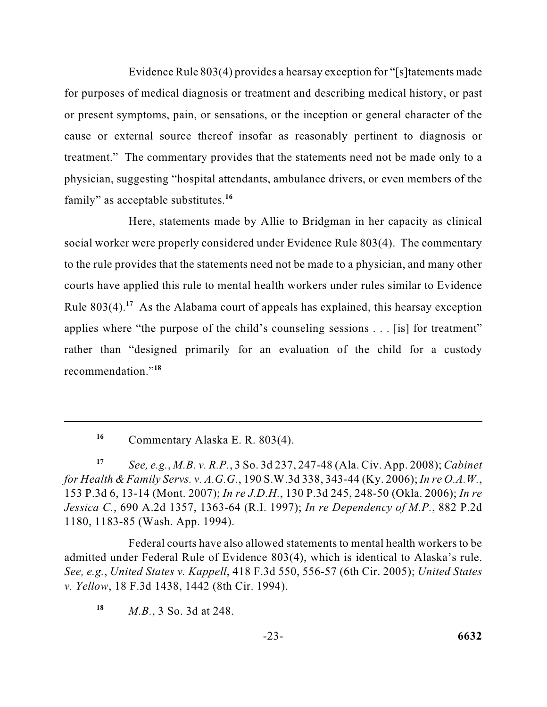Evidence Rule 803(4) provides a hearsay exception for "[s]tatements made for purposes of medical diagnosis or treatment and describing medical history, or past or present symptoms, pain, or sensations, or the inception or general character of the cause or external source thereof insofar as reasonably pertinent to diagnosis or treatment." The commentary provides that the statements need not be made only to a physician, suggesting "hospital attendants, ambulance drivers, or even members of the family" as acceptable substitutes.**<sup>16</sup>**

Here, statements made by Allie to Bridgman in her capacity as clinical social worker were properly considered under Evidence Rule 803(4). The commentary to the rule provides that the statements need not be made to a physician, and many other courts have applied this rule to mental health workers under rules similar to Evidence Rule 803(4).**<sup>17</sup>**As the Alabama court of appeals has explained, this hearsay exception applies where "the purpose of the child's counseling sessions . . . [is] for treatment" rather than "designed primarily for an evaluation of the child for a custody recommendation."**<sup>18</sup>**

 *for Health & Family Servs. v. A.G.G.*, 190 S.W.3d 338, 343-44 (Ky. 2006); *In re O.A.W.*, 153 P.3d 6, 13-14 (Mont. 2007); *In re J.D.H.*, 130 P.3d 245, 248-50 (Okla. 2006); *In re*  **<sup>17</sup>***See, e.g.*, *M.B. v. R.P.*, 3 So. 3d 237, 247-48 (Ala. Civ. App. 2008); *Cabinet Jessica C.*, 690 A.2d 1357, 1363-64 (R.I. 1997); *In re Dependency of M.P.*, 882 P.2d 1180, 1183-85 (Wash. App. 1994).

 Federal courts have also allowed statements to mental health workers to be  *See, e.g.*, *United States v. Kappell*, 418 F.3d 550, 556-57 (6th Cir. 2005); *United States*  admitted under Federal Rule of Evidence 803(4), which is identical to Alaska's rule. *v. Yellow*, 18 F.3d 1438, 1442 (8th Cir. 1994).

**<sup>18</sup>***M.B.*, 3 So. 3d at 248.

<sup>&</sup>lt;sup>16</sup> Commentary Alaska E. R. 803(4).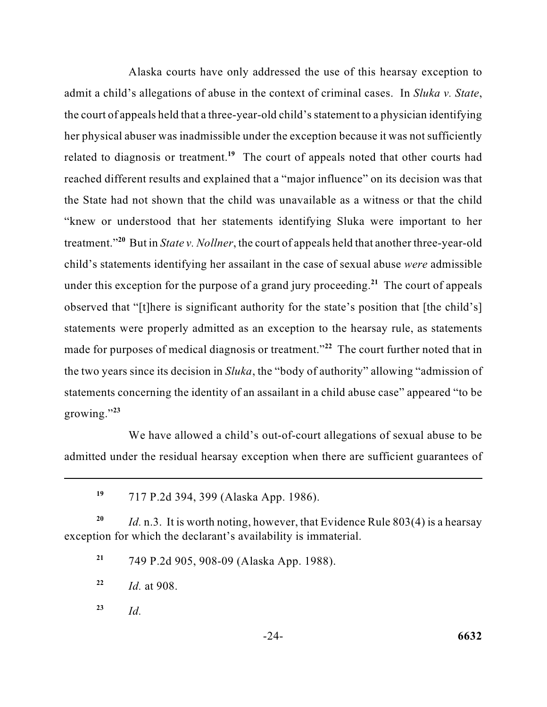admit a child's allegations of abuse in the context of criminal cases. In *Sluka v. State*, her physical abuser was inadmissible under the exception because it was not sufficiently the State had not shown that the child was unavailable as a witness or that the child under this exception for the purpose of a grand jury proceeding.<sup>21</sup> The court of appeals the two years since its decision in *Sluka*, the "body of authority" allowing "admission of statements concerning the identity of an assailant in a child abuse case" appeared "to be Alaska courts have only addressed the use of this hearsay exception to the court of appeals held that a three-year-old child's statement to a physician identifying related to diagnosis or treatment.<sup>19</sup> The court of appeals noted that other courts had reached different results and explained that a "major influence" on its decision was that "knew or understood that her statements identifying Sluka were important to her treatment."**<sup>20</sup>**But in *State v. Nollner*, the court of appeals held that another three-year-old child's statements identifying her assailant in the case of sexual abuse *were* admissible observed that "[t]here is significant authority for the state's position that [the child's] statements were properly admitted as an exception to the hearsay rule, as statements made for purposes of medical diagnosis or treatment."<sup>22</sup> The court further noted that in growing."**<sup>23</sup>**

We have allowed a child's out-of-court allegations of sexual abuse to be admitted under the residual hearsay exception when there are sufficient guarantees of

**<sup>19</sup>**717 P.2d 394, 399 (Alaska App. 1986).

 **<sup>20</sup>***Id.* n.3. It is worth noting, however, that Evidence Rule 803(4) is a hearsay exception for which the declarant's availability is immaterial.

**<sup>21</sup>**749 P.2d 905, 908-09 (Alaska App. 1988).

**<sup>22</sup>***Id.* at 908.

**<sup>23</sup>***Id.*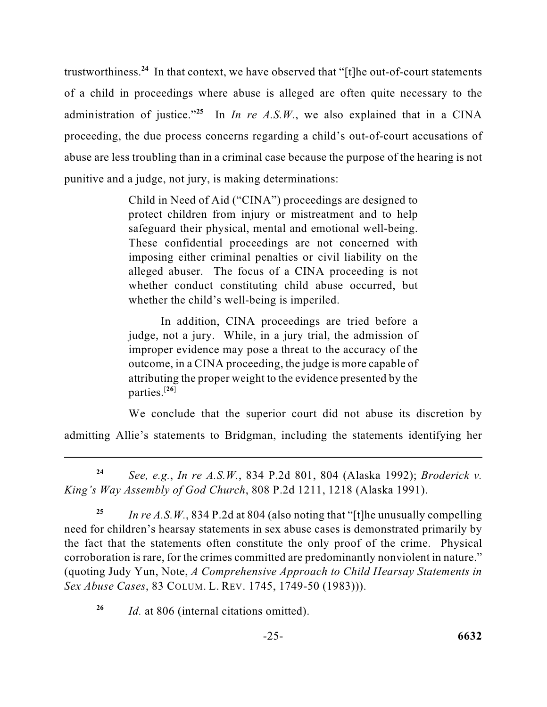trustworthiness.**<sup>24</sup>**In that context, we have observed that "[t]he out-of-court statements of a child in proceedings where abuse is alleged are often quite necessary to the administration of justice."<sup>25</sup> In *In re A.S.W.*, we also explained that in a CINA proceeding, the due process concerns regarding a child's out-of-court accusations of abuse are less troubling than in a criminal case because the purpose of the hearing is not punitive and a judge, not jury, is making determinations:

> Child in Need of Aid ("CINA") proceedings are designed to protect children from injury or mistreatment and to help safeguard their physical, mental and emotional well-being. These confidential proceedings are not concerned with imposing either criminal penalties or civil liability on the alleged abuser. The focus of a CINA proceeding is not whether conduct constituting child abuse occurred, but whether the child's well-being is imperiled.

> In addition, CINA proceedings are tried before a judge, not a jury. While, in a jury trial, the admission of improper evidence may pose a threat to the accuracy of the outcome, in a CINA proceeding, the judge is more capable of attributing the proper weight to the evidence presented by the parties.<sup>[26]</sup>

We conclude that the superior court did not abuse its discretion by admitting Allie's statements to Bridgman, including the statements identifying her

**<sup>24</sup>***See, e.g.*, *In re A.S.W.*, 834 P.2d 801, 804 (Alaska 1992); *Broderick v. King's Way Assembly of God Church*, 808 P.2d 1211, 1218 (Alaska 1991).

 (quoting Judy Yun, Note, *A Comprehensive Approach to Child Hearsay Statements in*  **<sup>25</sup>***In re A.S.W.*, 834 P.2d at 804 (also noting that "[t]he unusually compelling need for children's hearsay statements in sex abuse cases is demonstrated primarily by the fact that the statements often constitute the only proof of the crime. Physical corroboration is rare, for the crimes committed are predominantly nonviolent in nature." *Sex Abuse Cases*, 83 COLUM. L. REV. 1745, 1749-50 (1983))).

**<sup>26</sup>***Id.* at 806 (internal citations omitted).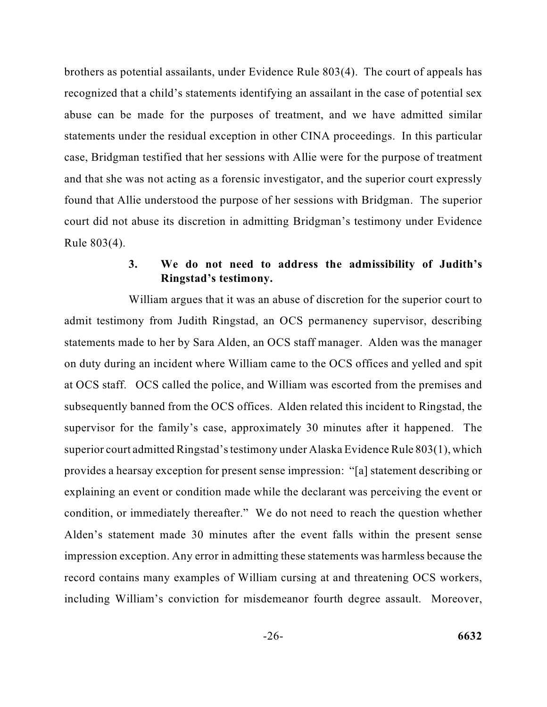brothers as potential assailants, under Evidence Rule 803(4). The court of appeals has and that she was not acting as a forensic investigator, and the superior court expressly found that Allie understood the purpose of her sessions with Bridgman. The superior recognized that a child's statements identifying an assailant in the case of potential sex abuse can be made for the purposes of treatment, and we have admitted similar statements under the residual exception in other CINA proceedings. In this particular case, Bridgman testified that her sessions with Allie were for the purpose of treatment court did not abuse its discretion in admitting Bridgman's testimony under Evidence Rule 803(4).

### **3. We do not need to address the admissibility of Judith's Ringstad's testimony.**

 William argues that it was an abuse of discretion for the superior court to on duty during an incident where William came to the OCS offices and yelled and spit at OCS staff. OCS called the police, and William was escorted from the premises and subsequently banned from the OCS offices. Alden related this incident to Ringstad, the provides a hearsay exception for present sense impression: "[a] statement describing or explaining an event or condition made while the declarant was perceiving the event or condition, or immediately thereafter." We do not need to reach the question whether admit testimony from Judith Ringstad, an OCS permanency supervisor, describing statements made to her by Sara Alden, an OCS staff manager. Alden was the manager supervisor for the family's case, approximately 30 minutes after it happened. The superior court admitted Ringstad's testimony under Alaska Evidence Rule 803(1), which Alden's statement made 30 minutes after the event falls within the present sense impression exception. Any error in admitting these statements was harmless because the record contains many examples of William cursing at and threatening OCS workers, including William's conviction for misdemeanor fourth degree assault. Moreover,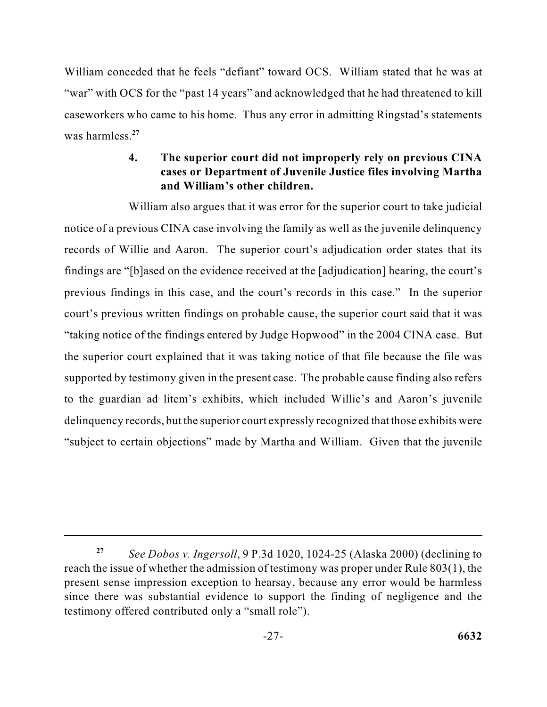"war" with OCS for the "past 14 years" and acknowledged that he had threatened to kill caseworkers who came to his home. Thus any error in admitting Ringstad's statements William conceded that he feels "defiant" toward OCS. William stated that he was at was harmless.**<sup>27</sup>**

### **cases or Department of Juvenile Justice files involving Martha 4. The superior court did not improperly rely on previous CINA and William's other children.**

 notice of a previous CINA case involving the family as well as the juvenile delinquency records of Willie and Aaron. The superior court's adjudication order states that its supported by testimony given in the present case. The probable cause finding also refers to the guardian ad litem's exhibits, which included Willie's and Aaron's juvenile "subject to certain objections" made by Martha and William. Given that the juvenile William also argues that it was error for the superior court to take judicial findings are "[b]ased on the evidence received at the [adjudication] hearing, the court's previous findings in this case, and the court's records in this case." In the superior court's previous written findings on probable cause, the superior court said that it was "taking notice of the findings entered by Judge Hopwood" in the 2004 CINA case. But the superior court explained that it was taking notice of that file because the file was delinquency records, but the superior court expressly recognized that those exhibits were

 **<sup>27</sup>***See Dobos v. Ingersoll*, 9 P.3d 1020, 1024-25 (Alaska 2000) (declining to reach the issue of whether the admission of testimony was proper under Rule 803(1), the present sense impression exception to hearsay, because any error would be harmless since there was substantial evidence to support the finding of negligence and the testimony offered contributed only a "small role").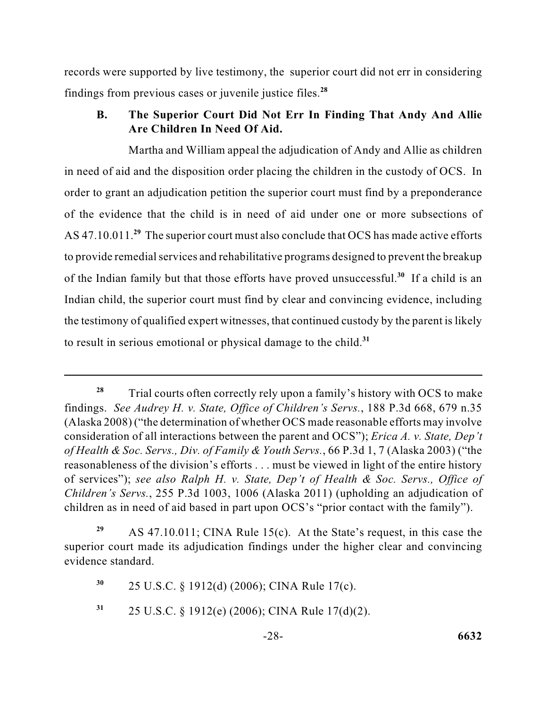records were supported by live testimony, the superior court did not err in considering findings from previous cases or juvenile justice files.**<sup>28</sup>**

### **B. The Superior Court Did Not Err In Finding That Andy And Allie Are Children In Need Of Aid.**

 the testimony of qualified expert witnesses, that continued custody by the parent is likely Martha and William appeal the adjudication of Andy and Allie as children in need of aid and the disposition order placing the children in the custody of OCS. In order to grant an adjudication petition the superior court must find by a preponderance of the evidence that the child is in need of aid under one or more subsections of AS 47.10.011.**<sup>29</sup>** The superior court must also conclude that OCS has made active efforts to provide remedial services and rehabilitative programs designed to prevent the breakup of the Indian family but that those efforts have proved unsuccessful.**<sup>30</sup>**If a child is an Indian child, the superior court must find by clear and convincing evidence, including to result in serious emotional or physical damage to the child.**<sup>31</sup>**

**<sup>30</sup>**25 U.S.C. § 1912(d) (2006); CINA Rule 17(c).

**<sup>31</sup>**25 U.S.C. § 1912(e) (2006); CINA Rule 17(d)(2).

<sup>28</sup>  (Alaska 2008) ("the determination of whether OCS made reasonable efforts may involve reasonableness of the division's efforts . . . must be viewed in light of the entire history  of services"); *see also Ralph H. v. State, Dep't of Health & Soc. Servs., Office of*  **<sup>28</sup>**Trial courts often correctly rely upon a family's history with OCS to make findings. *See Audrey H. v. State, Office of Children's Servs.*, 188 P.3d 668, 679 n.35 consideration of all interactions between the parent and OCS"); *Erica A. v. State, Dep't of Health & Soc. Servs., Div. of Family & Youth Servs.*, 66 P.3d 1, 7 (Alaska 2003) ("the *Children's Servs.*, 255 P.3d 1003, 1006 (Alaska 2011) (upholding an adjudication of children as in need of aid based in part upon OCS's "prior contact with the family").

 **<sup>29</sup>**AS 47.10.011; CINA Rule 15(c). At the State's request, in this case the superior court made its adjudication findings under the higher clear and convincing evidence standard.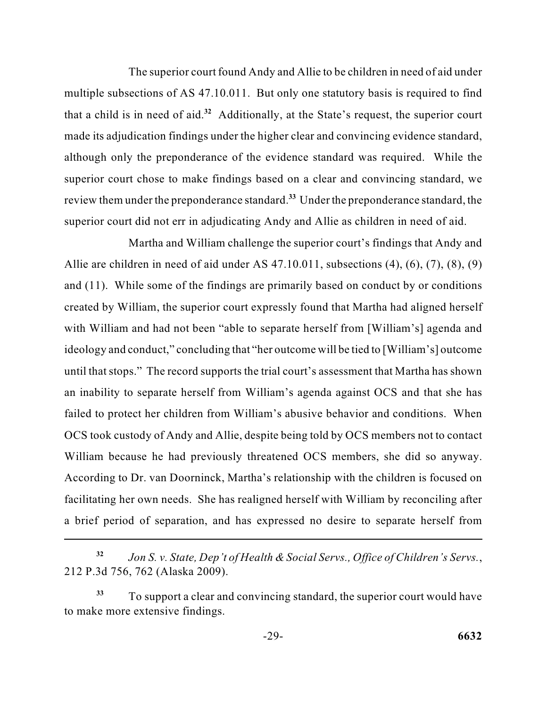review them under the preponderance standard.**<sup>33</sup>** Under the preponderance standard, the The superior court found Andy and Allie to be children in need of aid under multiple subsections of AS 47.10.011. But only one statutory basis is required to find that a child is in need of aid.**<sup>32</sup>**Additionally, at the State's request, the superior court made its adjudication findings under the higher clear and convincing evidence standard, although only the preponderance of the evidence standard was required. While the superior court chose to make findings based on a clear and convincing standard, we superior court did not err in adjudicating Andy and Allie as children in need of aid.

 Martha and William challenge the superior court's findings that Andy and Allie are children in need of aid under AS 47.10.011, subsections (4), (6), (7), (8), (9) and (11). While some of the findings are primarily based on conduct by or conditions created by William, the superior court expressly found that Martha had aligned herself until that stops." The record supports the trial court's assessment that Martha has shown an inability to separate herself from William's agenda against OCS and that she has OCS took custody of Andy and Allie, despite being told by OCS members not to contact facilitating her own needs. She has realigned herself with William by reconciling after with William and had not been "able to separate herself from [William's] agenda and ideology and conduct," concluding that "her outcome will be tied to [William's] outcome failed to protect her children from William's abusive behavior and conditions. When William because he had previously threatened OCS members, she did so anyway. According to Dr. van Doorninck, Martha's relationship with the children is focused on a brief period of separation, and has expressed no desire to separate herself from

 **<sup>32</sup>***Jon S. v. State, Dep't of Health & Social Servs., Office of Children's Servs.*, 212 P.3d 756, 762 (Alaska 2009).

**<sup>33</sup>**To support a clear and convincing standard, the superior court would have to make more extensive findings.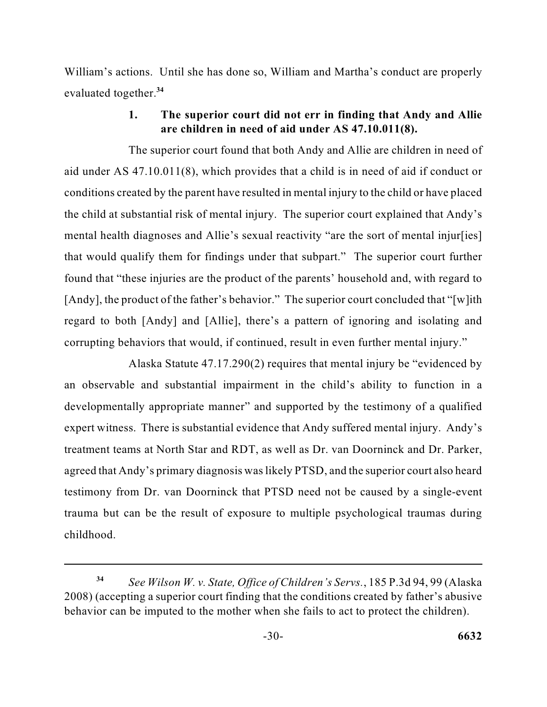William's actions. Until she has done so, William and Martha's conduct are properly evaluated together.**<sup>34</sup>**

### **1. The superior court did not err in finding that Andy and Allie are children in need of aid under AS 47.10.011(8).**

 found that "these injuries are the product of the parents' household and, with regard to [Andy], the product of the father's behavior." The superior court concluded that "[w]ith The superior court found that both Andy and Allie are children in need of aid under AS 47.10.011(8), which provides that a child is in need of aid if conduct or conditions created by the parent have resulted in mental injury to the child or have placed the child at substantial risk of mental injury. The superior court explained that Andy's mental health diagnoses and Allie's sexual reactivity "are the sort of mental injur[ies] that would qualify them for findings under that subpart." The superior court further regard to both [Andy] and [Allie], there's a pattern of ignoring and isolating and corrupting behaviors that would, if continued, result in even further mental injury."

 expert witness. There is substantial evidence that Andy suffered mental injury. Andy's testimony from Dr. van Doorninck that PTSD need not be caused by a single-event Alaska Statute 47.17.290(2) requires that mental injury be "evidenced by an observable and substantial impairment in the child's ability to function in a developmentally appropriate manner" and supported by the testimony of a qualified treatment teams at North Star and RDT, as well as Dr. van Doorninck and Dr. Parker, agreed that Andy's primary diagnosis was likely PTSD, and the superior court also heard trauma but can be the result of exposure to multiple psychological traumas during childhood.

 2008) (accepting a superior court finding that the conditions created by father's abusive *See Wilson W. v. State, Office of Children's Servs.*, 185 P.3d 94, 99 (Alaska behavior can be imputed to the mother when she fails to act to protect the children). **34**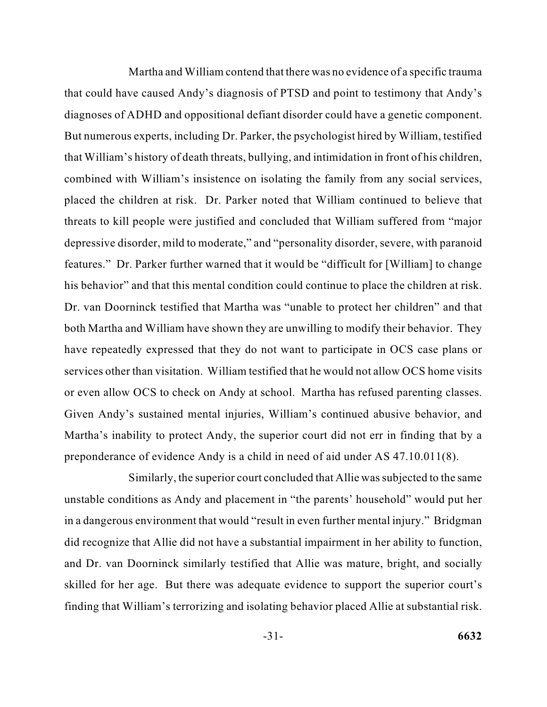diagnoses of ADHD and oppositional defiant disorder could have a genetic component. that William's history of death threats, bullying, and intimidation in front of his children, depressive disorder, mild to moderate," and "personality disorder, severe, with paranoid or even allow OCS to check on Andy at school. Martha has refused parenting classes. Martha and William contend that there was no evidence of a specific trauma that could have caused Andy's diagnosis of PTSD and point to testimony that Andy's But numerous experts, including Dr. Parker, the psychologist hired by William, testified combined with William's insistence on isolating the family from any social services, placed the children at risk. Dr. Parker noted that William continued to believe that threats to kill people were justified and concluded that William suffered from "major features." Dr. Parker further warned that it would be "difficult for [William] to change his behavior" and that this mental condition could continue to place the children at risk. Dr. van Doorninck testified that Martha was "unable to protect her children" and that both Martha and William have shown they are unwilling to modify their behavior. They have repeatedly expressed that they do not want to participate in OCS case plans or services other than visitation. William testified that he would not allow OCS home visits Given Andy's sustained mental injuries, William's continued abusive behavior, and Martha's inability to protect Andy, the superior court did not err in finding that by a preponderance of evidence Andy is a child in need of aid under AS 47.10.011(8).

 Similarly, the superior court concluded that Allie was subjected to the same finding that William's terrorizing and isolating behavior placed Allie at substantial risk. unstable conditions as Andy and placement in "the parents' household" would put her in a dangerous environment that would "result in even further mental injury." Bridgman did recognize that Allie did not have a substantial impairment in her ability to function, and Dr. van Doorninck similarly testified that Allie was mature, bright, and socially skilled for her age. But there was adequate evidence to support the superior court's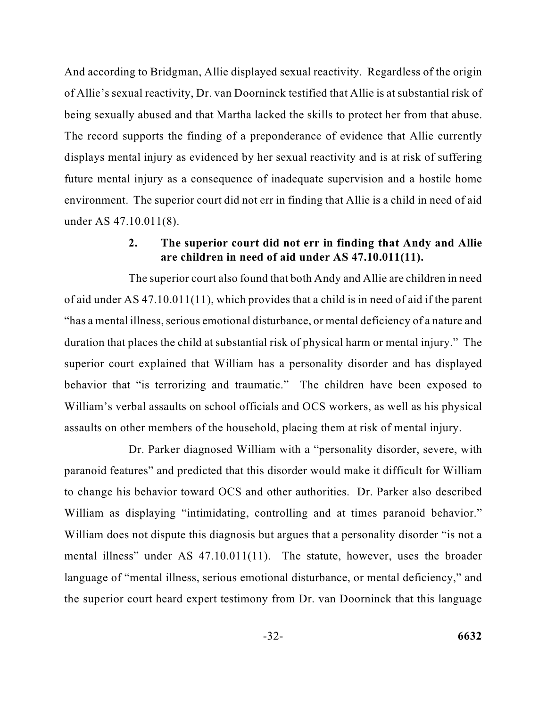of Allie's sexual reactivity, Dr. van Doorninck testified that Allie is at substantial risk of environment. The superior court did not err in finding that Allie is a child in need of aid And according to Bridgman, Allie displayed sexual reactivity. Regardless of the origin being sexually abused and that Martha lacked the skills to protect her from that abuse. The record supports the finding of a preponderance of evidence that Allie currently displays mental injury as evidenced by her sexual reactivity and is at risk of suffering future mental injury as a consequence of inadequate supervision and a hostile home under AS 47.10.011(8).

#### **2. The superior court did not err in finding that Andy and Allie are children in need of aid under AS 47.10.011(11).**

 of aid under AS 47.10.011(11), which provides that a child is in need of aid if the parent "has a mental illness, serious emotional disturbance, or mental deficiency of a nature and William's verbal assaults on school officials and OCS workers, as well as his physical The superior court also found that both Andy and Allie are children in need duration that places the child at substantial risk of physical harm or mental injury." The superior court explained that William has a personality disorder and has displayed behavior that "is terrorizing and traumatic." The children have been exposed to assaults on other members of the household, placing them at risk of mental injury.

Dr. Parker diagnosed William with a "personality disorder, severe, with paranoid features" and predicted that this disorder would make it difficult for William to change his behavior toward OCS and other authorities. Dr. Parker also described William as displaying "intimidating, controlling and at times paranoid behavior." William does not dispute this diagnosis but argues that a personality disorder "is not a mental illness" under AS 47.10.011(11). The statute, however, uses the broader language of "mental illness, serious emotional disturbance, or mental deficiency," and the superior court heard expert testimony from Dr. van Doorninck that this language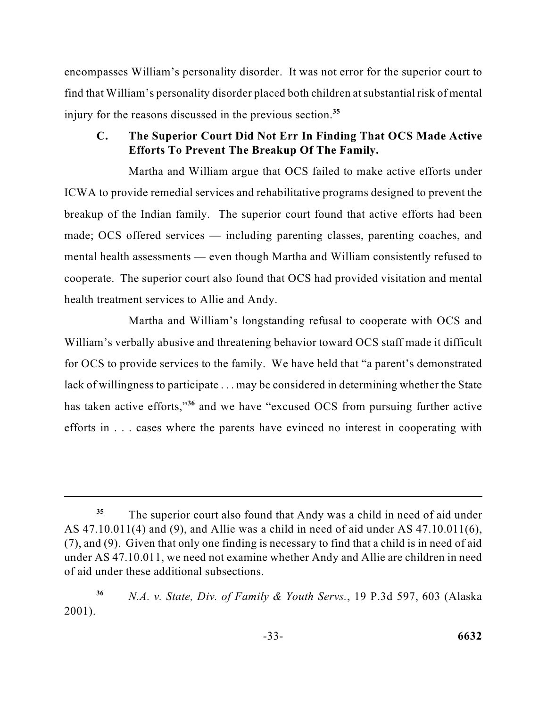find that William's personality disorder placed both children at substantial risk of mental encompasses William's personality disorder. It was not error for the superior court to injury for the reasons discussed in the previous section.**<sup>35</sup>**

### **C. The Superior Court Did Not Err In Finding That OCS Made Active Efforts To Prevent The Breakup Of The Family.**

 ICWA to provide remedial services and rehabilitative programs designed to prevent the breakup of the Indian family. The superior court found that active efforts had been mental health assessments — even though Martha and William consistently refused to cooperate. The superior court also found that OCS had provided visitation and mental Martha and William argue that OCS failed to make active efforts under made; OCS offered services — including parenting classes, parenting coaches, and health treatment services to Allie and Andy.

 William's verbally abusive and threatening behavior toward OCS staff made it difficult for OCS to provide services to the family. We have held that "a parent's demonstrated Martha and William's longstanding refusal to cooperate with OCS and lack of willingness to participate . . . may be considered in determining whether the State has taken active efforts,"**<sup>36</sup>** and we have "excused OCS from pursuing further active efforts in . . . cases where the parents have evinced no interest in cooperating with

 (7), and (9). Given that only one finding is necessary to find that a child is in need of aid <sup>35</sup> The superior court also found that Andy was a child in need of aid under AS 47.10.011(4) and (9), and Allie was a child in need of aid under AS 47.10.011(6), under AS 47.10.011, we need not examine whether Andy and Allie are children in need of aid under these additional subsections.

 **<sup>36</sup>***N.A. v. State, Div. of Family & Youth Servs.*, 19 P.3d 597, 603 (Alaska 2001).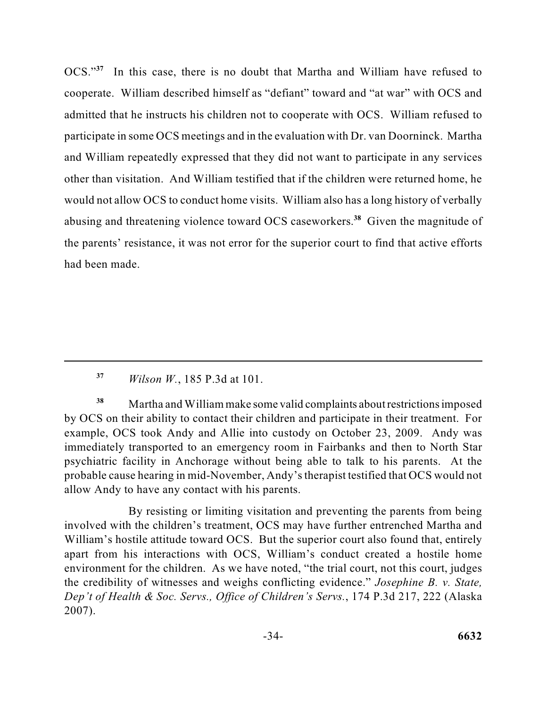OCS."**<sup>37</sup>**In this case, there is no doubt that Martha and William have refused to cooperate. William described himself as "defiant" toward and "at war" with OCS and admitted that he instructs his children not to cooperate with OCS. William refused to participate in some OCS meetings and in the evaluation with Dr. van Doorninck. Martha other than visitation. And William testified that if the children were returned home, he and William repeatedly expressed that they did not want to participate in any services would not allow OCS to conduct home visits. William also has a long history of verbally abusing and threatening violence toward OCS caseworkers.**<sup>38</sup>**Given the magnitude of the parents' resistance, it was not error for the superior court to find that active efforts had been made.

 probable cause hearing in mid-November, Andy's therapist testified that OCS would not **<sup>38</sup>**Martha and William make some valid complaints about restrictions imposed by OCS on their ability to contact their children and participate in their treatment. For example, OCS took Andy and Allie into custody on October 23, 2009. Andy was immediately transported to an emergency room in Fairbanks and then to North Star psychiatric facility in Anchorage without being able to talk to his parents. At the allow Andy to have any contact with his parents.

 environment for the children. As we have noted, "the trial court, not this court, judges By resisting or limiting visitation and preventing the parents from being involved with the children's treatment, OCS may have further entrenched Martha and William's hostile attitude toward OCS. But the superior court also found that, entirely apart from his interactions with OCS, William's conduct created a hostile home the credibility of witnesses and weighs conflicting evidence." *Josephine B. v. State, Dep't of Health & Soc. Servs., Office of Children's Servs.*, 174 P.3d 217, 222 (Alaska 2007).

**<sup>37</sup>***Wilson W.*, 185 P.3d at 101.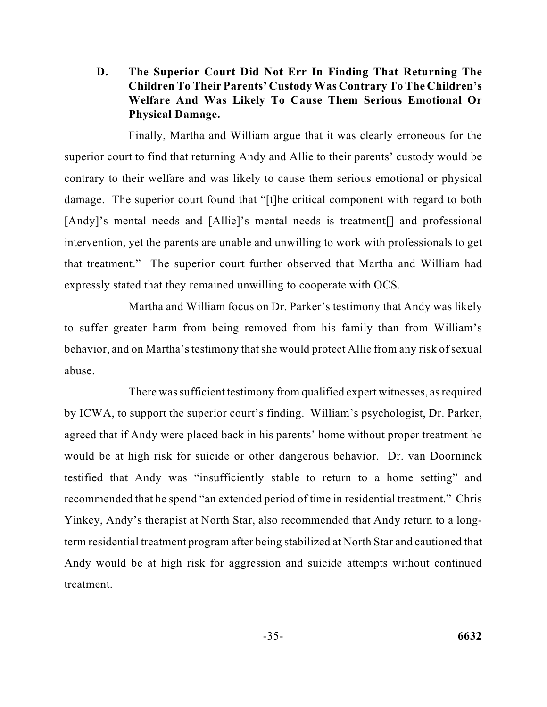**D. The Superior Court Did Not Err In Finding That Returning The Children To Their Parents' Custody Was Contrary To The Children's Welfare And Was Likely To Cause Them Serious Emotional Or Physical Damage.** 

 superior court to find that returning Andy and Allie to their parents' custody would be Finally, Martha and William argue that it was clearly erroneous for the contrary to their welfare and was likely to cause them serious emotional or physical damage. The superior court found that "[t]he critical component with regard to both [Andy]'s mental needs and [Allie]'s mental needs is treatment<sup>[]</sup> and professional intervention, yet the parents are unable and unwilling to work with professionals to get that treatment." The superior court further observed that Martha and William had expressly stated that they remained unwilling to cooperate with OCS.

 Martha and William focus on Dr. Parker's testimony that Andy was likely to suffer greater harm from being removed from his family than from William's behavior, and on Martha's testimony that she would protect Allie from any risk of sexual abuse.

 agreed that if Andy were placed back in his parents' home without proper treatment he would be at high risk for suicide or other dangerous behavior. Dr. van Doorninck recommended that he spend "an extended period of time in residential treatment." Chris term residential treatment program after being stabilized at North Star and cautioned that There was sufficient testimony from qualified expert witnesses, as required by ICWA, to support the superior court's finding. William's psychologist, Dr. Parker, testified that Andy was "insufficiently stable to return to a home setting" and Yinkey, Andy's therapist at North Star, also recommended that Andy return to a long-Andy would be at high risk for aggression and suicide attempts without continued treatment.